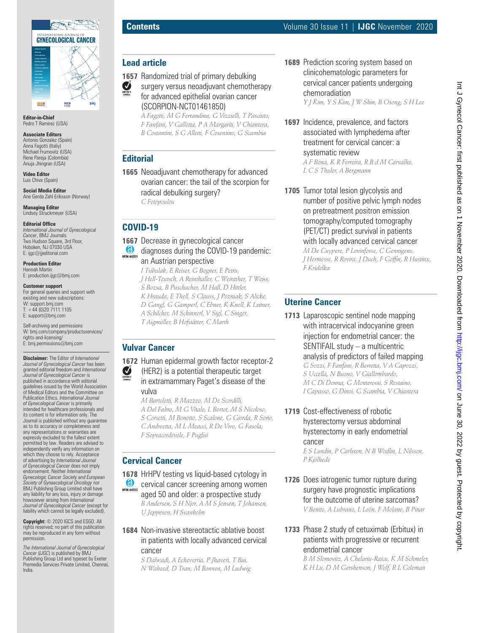

**Editor-in-Chief** Pedro T Ramirez (USA)

#### **Associate Editors**

Antonio Gonzalez (Spain) Anna Fagotti (Italiy) Michael Frumovitz (USA) Rene Pareja (Colombia) Anuja Jhingran (USA)

**Video Editor** Luis Chiva (Spain)

**Social Media Editor** Ane Gerda Zahl Eriksson (Norway)

**Managing Editor** Lindsey Struckmeyer (USA)

#### **Editorial Office**

*International Journal of Gynecological Cancer*, BMJ Journals Two Hudson Square, 3rd Floor, Hoboken, NJ 07030 USA E: ijgc@jjeditorial.com

**Production Editor** Hannah Martin E: production.ijgc@bmj.com

#### **Customer support**

For general queries and support with existing and new subscriptions: W: support.bmj.com  $T: +44(0)2071111105$ E: support@bmj.com

Self-archiving and permissions W: bmj.com/company/productsservices/ rights-and-licensing/ E: bmj.permissions@bmj.com

**Disclaimer:** The Editor of *International Journal of Gynecological Cancer* has been granted editorial freedom and *International Journal of Gynecological Cancer* is published in accordance with editorial guidelines issued by the World Association of Medical Editors and the Committee on Publication Ethics. *International Journal of Gynecological Cancer* is primarily intended for healthcare professionals and its content is for information only. The Journal is published without any guarantee as to its accuracy or completeness and any representations or warranties are expressly excluded to the fullest extent permitted by law. Readers are advised to independently verify any information on which they choose to rely. Acceptance of advertising by *International Journal of Gynecological Cancer* does not imply endorsement. Neither *International Gynecologic Cancer Society and European Society of Gynaecological Oncology* nor BMJ Publishing Group Limited shall have any liability for any loss, injury or damage howsoever arising from *International Journal of Gynecological Cancer* (except for liability which cannot be legally excluded).

**Copyright:** © 2020 IGCS and ESGO. All rights reserved; no part of this publication may be reproduced in any form without permission.

*The International Journal of Gynecological Cancer* (*IJGC*) is published by BMJ Publishing Group Ltd and typeset by Exeter Premedia Services Private Limited, Chennai, India.

# **Lead article**

**1657** Randomized trial of primary debulking

 $\sum_{\text{EOTORS}}$ surgery versus neoadjuvant chemotherapy for advanced epithelial ovarian cancer (SCORPION-NCT01461850)

*A Fagotti, M G Ferrandina, G Vizzielli, T Pasciuto, F Fanfani, V Gallotta, P A Margariti, V Chiantera, B Costantini, S G Alletti, F Cosentino, G Scambia*

# **Editorial**

**1665** Neoadjuvant chemotherapy for advanced ovarian cancer: the tail of the scorpion for radical debulking surgery? *C Fotopoulou*

# **COVID-19**

- **1667** Decrease in gynecological cancer diagnoses during the COVID-19 pandemic: an Austrian perspective *I Tsibulak, E Reiser, G Bogner, E Petru,* 
	- *J Hell-Teutsch, A Reinthaller, C Weirather, T Weiss, S Bozsa, B Puschacher, M Hall, D Hittler, K Hrauda, E Thell, S Clauss, J Pozniak, S Alicke, D Gangl, G Gamperl, C Ebner, K Knoll, K Leitner,*
	- *A Schilcher, M Schinnerl, V Sigl, C Singer,*
	- *T Aigmüller, B Hofstätter, C Marth*

# **Vulvar Cancer**

**1672** Human epidermal growth factor receptor-2 EDITOR'S (HER2) is a potential therapeutic target in extramammary Paget's disease of the vulva

*M Bartoletti, R Mazzeo, M De Scordilli, A Del Fabro, M G Vitale, L Bortot, M S Nicoloso, S Corsetti, M Bonotto, S Scalone, G Giorda, R Sorio, C Andreetta, M L Meacci, R De Vivo, G Fasola, F Sopracordevole, F Puglisi*

# **Cervical Cancer**

**1678** HrHPV testing vs liquid-based cytology in **6** cervical cancer screening among women OPEN ACCESS

aged 50 and older: a prospective study *B Andersen, S H Njor, A M S Jensen, T Johansen, U Jeppesen, H Svanholm*

# **1684** Non-invasive stereotactic ablative boost in patients with locally advanced cervical

cancer

*S Dalwadi, A Echeverria, P Jhaveri, T Bui, N Waheed, D Tran, M Bonnen, M Ludwig* **1689** Prediction scoring system based on clinicohematologic parameters for cervical cancer patients undergoing chemoradiation

*Y J Kim, Y S Kim, J W Shin, B Osong, S H Lee*

- **1697** Incidence, prevalence, and factors associated with lymphedema after treatment for cervical cancer: a systematic review *A F Bona, K R Ferreira, R B d M Carvalho, L C S Thuler, A Bergmann*
- **1705** Tumor total lesion glycolysis and number of positive pelvic lymph nodes on pretreatment positron emission tomography/computed tomography (PET/CT) predict survival in patients with locally advanced cervical cancer

*M De Cuypere, P Lovinfosse, C Gennigens, J Hermesse, R Rovira, J Duch, F Goffin, R Hustinx, F Kridelka*

# **Uterine Cancer**

**1713** Laparoscopic sentinel node mapping with intracervical indocyanine green injection for endometrial cancer: the SENTIFAIL study – a multicentric analysis of predictors of failed mapping

*G Sozzi, F Fanfani, R Berretta, V A Capozzi, S Uccella, N Buono, V Giallombardo, M C Di Donna, G Monterossi, S Restaino, I Capasso, G Dinoi, G Scambia, V Chiantera*

# **1719** Cost-effectiveness of robotic hysterectomy versus abdominal hysterectomy in early endometrial cancer

*E S Lundin, P Carlsson, N B Wodlin, L Nilsson, P Kjölhede*

**1726** Does iatrogenic tumor rupture during surgery have prognostic implications for the outcome of uterine sarcomas? *V Benito, A Lubrano, L León, F Molano, B Pinar*

# **1733** Phase 2 study of cetuximab (Erbitux) in patients with progressive or recurrent endometrial cancer

*B M Slomovitz, A Chelariu-Raicu, K M Schmeler, K H Lu, D M Gershenson, J Wolf, R L Coleman*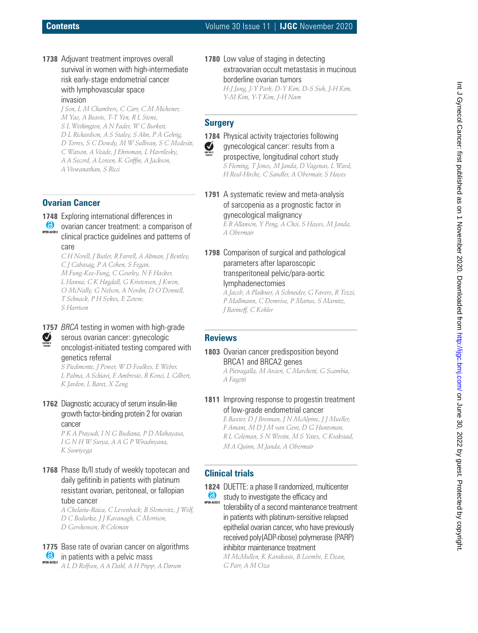# **Contents** Volume 30 Issue 11 | **IJGC** November 2020

**1738** Adjuvant treatment improves overall survival in women with high-intermediate risk early-stage endometrial cancer with lymphovascular space invasion

> *J Son, L M Chambers, C Carr, C M Michener, M Yao, A Beavis, T-T Yen, R L Stone, S L Wethington, A N Fader, W C Burkett, D L Richardson, A S Staley, S Ahn, P A Gehrig, D Torres, S C Dowdy, M W Sullivan, S C Modesitt, <sup>C</sup> Watson, A Veade, J Ehrisman, L Havrilesky, A <sup>A</sup> Secord, A Loreen, K Griffin, A Jackson, A Viswanathan, S Ricci*

### **Ovarian Cancer**

- **1748** Exploring international differences in
- ovarian cancer treatment: a comparison of OPEN ACCESS clinical practice guidelines and patterns of care

C H Norell, J Butler, R Farrell, A Altman, J Bentley,<br>C J Cabasag, P A Cohen, S Fegan,<br>M Fung-Kee-Fung, C Gourley, N F Hacker,<br>L Hanna, C K Høgdall, G Kristensen, J Kwon,<br>O McNally, G Nelson, A Nordin, D O'Donnell,<br>T Schna

EDITORS

# **1757** *BRCA* testing in women with high-grade serous ovarian cancer: gynecologic oncologist-initiated testing compared with

genetics referral *S Piedimonte, J Power, W D Foulkes, E Weber, <sup>L</sup> Palma, A Schiavi, E Ambrosio, R Konci, L Gilbert, K Jardon, L Baret, X Zeng*

**1762** Diagnostic accuracy of serum insulin-like growth factor-binding protein 2 for ovarian cancer

> *P K A Prayudi, I N G Budiana, P D Mahayasa, I G N H W Surya, A A G P Wiradnyana, K Suwiyoga*

**1768** Phase Ib/II study of weekly topotecan and daily gefitinib in patients with platinum resistant ovarian, peritoneal, or fallopian tube cancer

*<sup>A</sup> Chelariu-Raicu, C Levenback, B Slomovitz, J Wolf, D <sup>C</sup> Bodurka, J <sup>J</sup> Kavanagh, C Morrison, D Gershenson, R Coleman*

**1775** Base rate of ovarian cancer on algorithms **6** in patients with a pelvic mass

*A L D Rolfsen, A A Dahl, A H Pripp, A Dørum*

**1780** Low value of staging in detecting extraovarian occult metastasis in mucinous borderline ovarian tumors *H-J Jung, J-Y Park, D-Y Kim, D-S Suh, J-H Kim, Y-M Kim, Y-T Kim, J-H Nam*

# **Surgery**



**1784** Physical activity trajectories following gynecological cancer: results from a prospective, longitudinal cohort study *<sup>S</sup> Fleming, T Jones, M Janda, D Vagenas, L Ward, H Reul-Hirche, C Sandler, A Obermair, S Hayes*

**1791** A systematic review and meta-analysis of sarcopenia as a prognostic factor in gynecological malignancy *<sup>E</sup> <sup>R</sup> Allanson, Y Peng, A Choi, S Hayes, M Janda, A Obermair*

**1798** Comparison of surgical and pathological parameters after laparoscopic transperitoneal pelvic/para-aortic lymphadenectomies

*<sup>A</sup> Jacob, A Plaikner, A Schneider, G Favero, R Tozzi, P Mallmann, C Domröse, P Martus, S Marnitz, J Barinoff, C Kohler*

### **Reviews**

**1803** Ovarian cancer predisposition beyond BRCA1 and BRCA2 genes

*<sup>A</sup> Pietragalla, M Arcieri, C Marchetti, G Scambia, A Fagotti*

**1811** Improving response to progestin treatment of low-grade endometrial cancer

> *E Baxter, D J Brennan, J N McAlpine, J J Mueller, F Amant, M D J M van Gent, D G Huntsman, R L Coleman, S N Westin, M S Yates, C Krakstad, M A Quinn, M Janda, A Obermair*

# **Clinical trials**

**1824** DUETTE: a phase II randomized, multicenter

study to investigate the efficacy and **OPEN ACCESS** tolerability of a second maintenance treatment in patients with platinum-sensitive relapsed epithelial ovarian cancer, who have previously received poly(ADP-ribose) polymerase (PARP) inhibitor maintenance treatment

*<sup>M</sup> McMullen, K Karakasis, B Loembe, E Dean, G Parr, A <sup>M</sup> Oza*